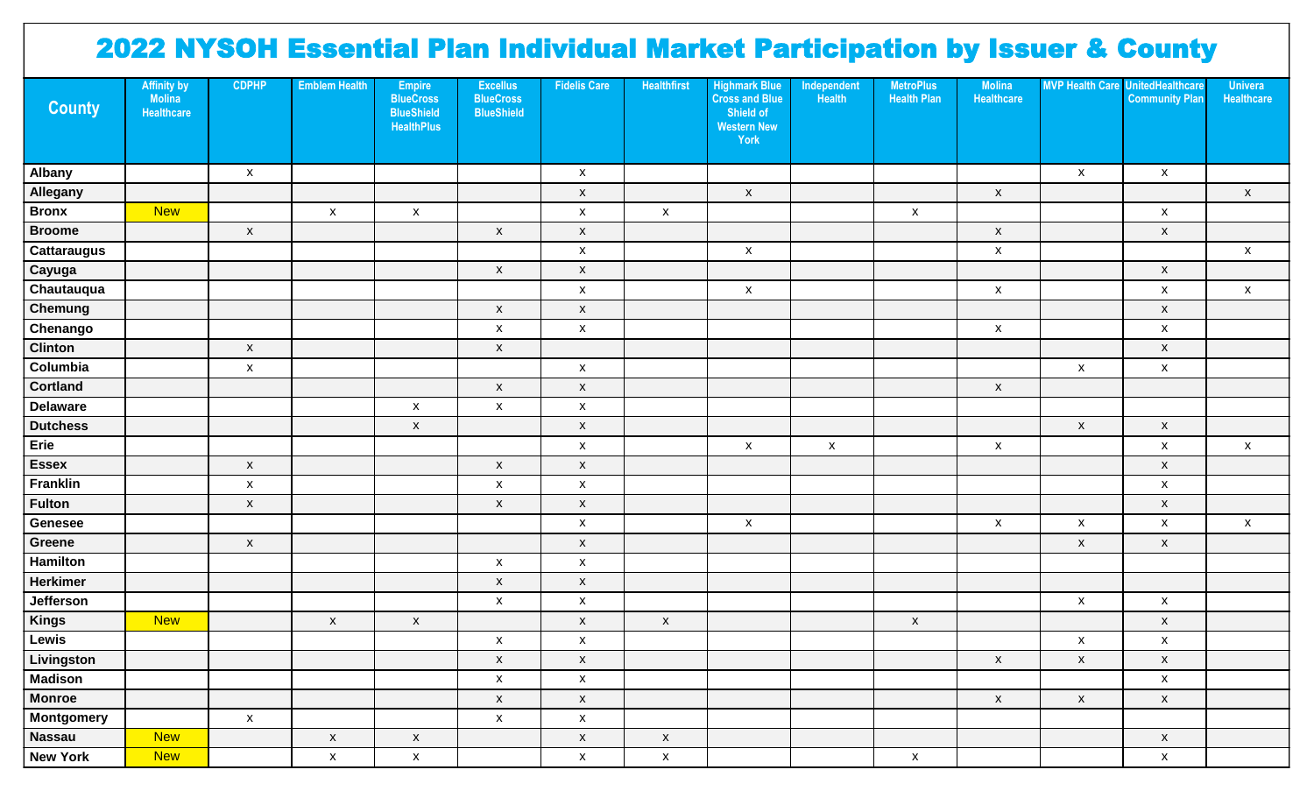## 2022 NYSOH Essential Plan Individual Market Participation by Issuer & County

| <b>County</b>      | <b>Affinity by</b><br><b>Molina</b><br><b>Healthcare</b> | <b>CDPHP</b>       | <b>Emblem Health</b> | <b>Empire</b><br><b>BlueCross</b><br><b>BlueShield</b><br><b>HealthPlus</b> | <b>Excellus</b><br><b>BlueCross</b><br><b>BlueShield</b> | <b>Fidelis Care</b> | <b>Healthfirst</b> | <b>Highmark Blue</b><br><b>Cross and Blue</b><br>Shield of<br><b>Western New</b><br>York | Independent<br>Health | <b>MetroPlus</b><br><b>Health Plan</b> | <b>Molina</b><br>Healthcare |                           | <b>MVP Health Care UnitedHealthcare</b><br><b>Community Plan</b> | <b>Univera</b><br>Healthcare |
|--------------------|----------------------------------------------------------|--------------------|----------------------|-----------------------------------------------------------------------------|----------------------------------------------------------|---------------------|--------------------|------------------------------------------------------------------------------------------|-----------------------|----------------------------------------|-----------------------------|---------------------------|------------------------------------------------------------------|------------------------------|
| Albany             |                                                          | $\mathsf{x}$       |                      |                                                                             |                                                          | $\mathsf{x}$        |                    |                                                                                          |                       |                                        |                             | $\boldsymbol{\mathsf{x}}$ | $\pmb{\mathsf{X}}$                                               |                              |
| Allegany           |                                                          |                    |                      |                                                                             |                                                          | $\mathsf X$         |                    | $\mathsf{x}$                                                                             |                       |                                        | $\pmb{\mathsf{X}}$          |                           |                                                                  | $\mathsf X$                  |
| <b>Bronx</b>       | <b>New</b>                                               |                    | $\pmb{\mathsf{X}}$   | $\mathsf X$                                                                 |                                                          | $\mathsf X$         | $\mathsf{X}$       |                                                                                          |                       | $\pmb{\mathsf{X}}$                     |                             |                           | $\mathsf{x}$                                                     |                              |
| <b>Broome</b>      |                                                          | $\mathsf X$        |                      |                                                                             | $\pmb{\mathsf{X}}$                                       | $\mathsf X$         |                    |                                                                                          |                       |                                        | $\pmb{\mathsf{x}}$          |                           | $\mathsf X$                                                      |                              |
| <b>Cattaraugus</b> |                                                          |                    |                      |                                                                             |                                                          | $\mathsf X$         |                    | $\pmb{\mathsf{X}}$                                                                       |                       |                                        | $\pmb{\mathsf{x}}$          |                           |                                                                  | $\mathsf X$                  |
| Cayuga             |                                                          |                    |                      |                                                                             | $\pmb{\mathsf{X}}$                                       | $\mathsf X$         |                    |                                                                                          |                       |                                        |                             |                           | $\mathsf X$                                                      |                              |
| Chautauqua         |                                                          |                    |                      |                                                                             |                                                          | $\mathsf X$         |                    | $\mathsf{x}$                                                                             |                       |                                        | $\pmb{\mathsf{x}}$          |                           | $\pmb{\mathsf{X}}$                                               | $\mathsf X$                  |
| <b>Chemung</b>     |                                                          |                    |                      |                                                                             | $\pmb{\mathsf{X}}$                                       | $\mathsf X$         |                    |                                                                                          |                       |                                        |                             |                           | $\mathsf X$                                                      |                              |
| Chenango           |                                                          |                    |                      |                                                                             | $\pmb{\mathsf{x}}$                                       | $\mathsf X$         |                    |                                                                                          |                       |                                        | $\pmb{\mathsf{x}}$          |                           | $\pmb{\mathsf{X}}$                                               |                              |
| <b>Clinton</b>     |                                                          | $\mathsf X$        |                      |                                                                             | $\mathsf X$                                              |                     |                    |                                                                                          |                       |                                        |                             |                           | $\mathsf X$                                                      |                              |
| Columbia           |                                                          | $\pmb{\mathsf{X}}$ |                      |                                                                             |                                                          | $\mathsf X$         |                    |                                                                                          |                       |                                        |                             | $\pmb{\mathsf{X}}$        | $\pmb{\mathsf{X}}$                                               |                              |
| <b>Cortland</b>    |                                                          |                    |                      |                                                                             | $\mathsf X$                                              | $\mathsf X$         |                    |                                                                                          |                       |                                        | $\pmb{\mathsf{x}}$          |                           |                                                                  |                              |
| <b>Delaware</b>    |                                                          |                    |                      | $\mathsf X$                                                                 | $\mathsf X$                                              | $\mathsf X$         |                    |                                                                                          |                       |                                        |                             |                           |                                                                  |                              |
| <b>Dutchess</b>    |                                                          |                    |                      | $\mathsf X$                                                                 |                                                          | $\mathsf X$         |                    |                                                                                          |                       |                                        |                             | $\pmb{\mathsf{X}}$        | $\mathsf X$                                                      |                              |
| Erie               |                                                          |                    |                      |                                                                             |                                                          | $\mathsf X$         |                    | $\pmb{\mathsf{X}}$                                                                       | $\mathsf X$           |                                        | $\mathsf X$                 |                           | $\pmb{\mathsf{X}}$                                               | $\pmb{\mathsf{X}}$           |
| <b>Essex</b>       |                                                          | $\mathsf{X}$       |                      |                                                                             | $\mathsf X$                                              | $\mathsf X$         |                    |                                                                                          |                       |                                        |                             |                           | $\boldsymbol{\mathsf{X}}$                                        |                              |
| <b>Franklin</b>    |                                                          | $\mathsf X$        |                      |                                                                             | $\boldsymbol{\mathsf{X}}$                                | $\mathsf X$         |                    |                                                                                          |                       |                                        |                             |                           | $\pmb{\mathsf{X}}$                                               |                              |
| <b>Fulton</b>      |                                                          | $\mathsf X$        |                      |                                                                             | X                                                        | $\mathsf X$         |                    |                                                                                          |                       |                                        |                             |                           | $\boldsymbol{\mathsf{X}}$                                        |                              |
| Genesee            |                                                          |                    |                      |                                                                             |                                                          | $\mathsf X$         |                    | $\pmb{\mathsf{X}}$                                                                       |                       |                                        | $\pmb{\mathsf{X}}$          | $\pmb{\mathsf{X}}$        | $\pmb{\mathsf{X}}$                                               | $\mathsf X$                  |
| Greene             |                                                          | $\mathsf{X}$       |                      |                                                                             |                                                          | $\mathsf X$         |                    |                                                                                          |                       |                                        |                             | $\mathsf{x}$              | $\boldsymbol{\mathsf{X}}$                                        |                              |
| Hamilton           |                                                          |                    |                      |                                                                             | $\pmb{\mathsf{x}}$                                       | $\mathsf X$         |                    |                                                                                          |                       |                                        |                             |                           |                                                                  |                              |
| <b>Herkimer</b>    |                                                          |                    |                      |                                                                             | $\mathsf X$                                              | $\mathsf X$         |                    |                                                                                          |                       |                                        |                             |                           |                                                                  |                              |
| Jefferson          |                                                          |                    |                      |                                                                             | $\pmb{\mathsf{X}}$                                       | $\mathsf X$         |                    |                                                                                          |                       |                                        |                             | $\pmb{\mathsf{X}}$        | $\pmb{\mathsf{X}}$                                               |                              |
| <b>Kings</b>       | <b>New</b>                                               |                    | $\mathsf{x}$         | $\mathsf X$                                                                 |                                                          | $\mathsf X$         | $\mathsf X$        |                                                                                          |                       | $\mathsf X$                            |                             |                           | $\pmb{\mathsf{X}}$                                               |                              |
| Lewis              |                                                          |                    |                      |                                                                             | $\mathsf X$                                              | $\mathsf X$         |                    |                                                                                          |                       |                                        |                             | $\pmb{\mathsf{X}}$        | $\pmb{\mathsf{X}}$                                               |                              |
| Livingston         |                                                          |                    |                      |                                                                             | $\mathsf{X}^-$                                           | $\mathsf{X}^-$      |                    |                                                                                          |                       |                                        | $\mathsf{X}$                | $\mathsf X$               | $\pmb{\mathsf{x}}$                                               |                              |
| <b>Madison</b>     |                                                          |                    |                      |                                                                             | $\mathsf X$                                              | $\mathsf X$         |                    |                                                                                          |                       |                                        |                             |                           | $\mathsf X$                                                      |                              |
| <b>Monroe</b>      |                                                          |                    |                      |                                                                             | $\mathsf X$                                              | $\mathsf X$         |                    |                                                                                          |                       |                                        | $\mathsf X$                 | $\mathsf X$               | $\mathsf X$                                                      |                              |
| <b>Montgomery</b>  |                                                          | $\mathsf{X}$       |                      |                                                                             | $\mathsf X$                                              | $\mathsf X$         |                    |                                                                                          |                       |                                        |                             |                           |                                                                  |                              |
| <b>Nassau</b>      | <b>New</b>                                               |                    | $\mathsf X$          | $\mathsf X$                                                                 |                                                          | $\mathsf X$         | $\mathsf X$        |                                                                                          |                       |                                        |                             |                           | $\mathsf X$                                                      |                              |
| <b>New York</b>    | <b>New</b>                                               |                    | $\mathsf X$          | $\mathsf X$                                                                 |                                                          | $\mathsf X$         | $\mathsf X$        |                                                                                          |                       | $\mathsf X$                            |                             |                           | $\mathsf X$                                                      |                              |